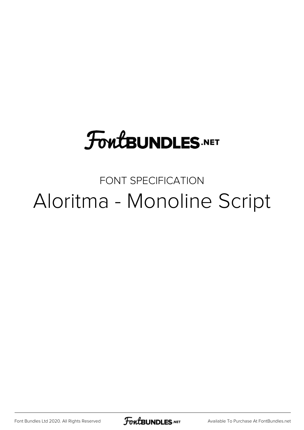## **FoutBUNDLES.NET**

### FONT SPECIFICATION Aloritma - Monoline Script

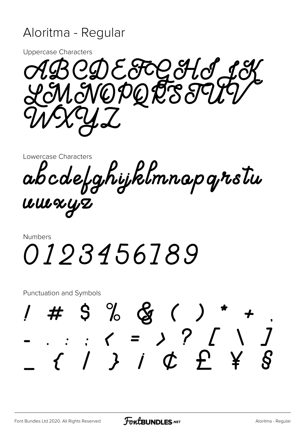#### Aloritma - Regular

**Uppercase Characters** 

BCDEFECHS 1 M NOPOR387

**Lowercase Characters** 

abcdefghijklmnapgrotu u<br>Buuryy

**Numbers** 

# 0123456789

**Punctuation and Symbols** 

S % & ( )  $\cdot$  ;  $\cdot$  ;  $\cdot$  = > ? [ \<br>  $\cdot$  / } ;  $\circ$   $\circ$   $f$  \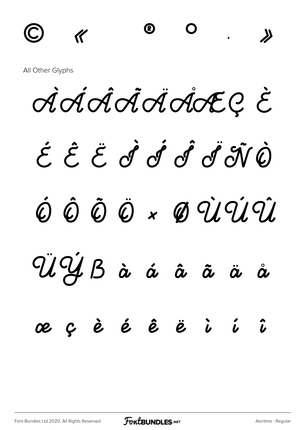$\bigcirc$  $\lambda$  $\ll$ 

All Other Glyphs

Addacidade è

# É Ë Ë d'd d'IVÔ ÓÔÔÖרÙÚŨ

ÛÛABàáåãã  $\mathring{\bm{\alpha}}$ 

#### ύèéêë  $\ddot{b}$  $\hat{\bm{\iota}}$   $\hat{\bm{\iota}}$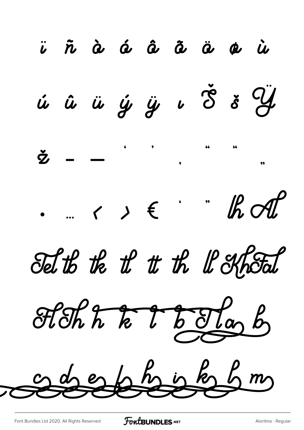ü ñ à á â ã ä  $\dot{\boldsymbol{\mu}}$  $\boldsymbol{\phi}$ ú û ü ý ÿ ı Š š Ÿ 99  $\cdot$   $\cdot$   $\cdot$   $\cdot$   $\cdot$   $\in$ R Al Tel the the the U official Flohk to Folas odes briske b